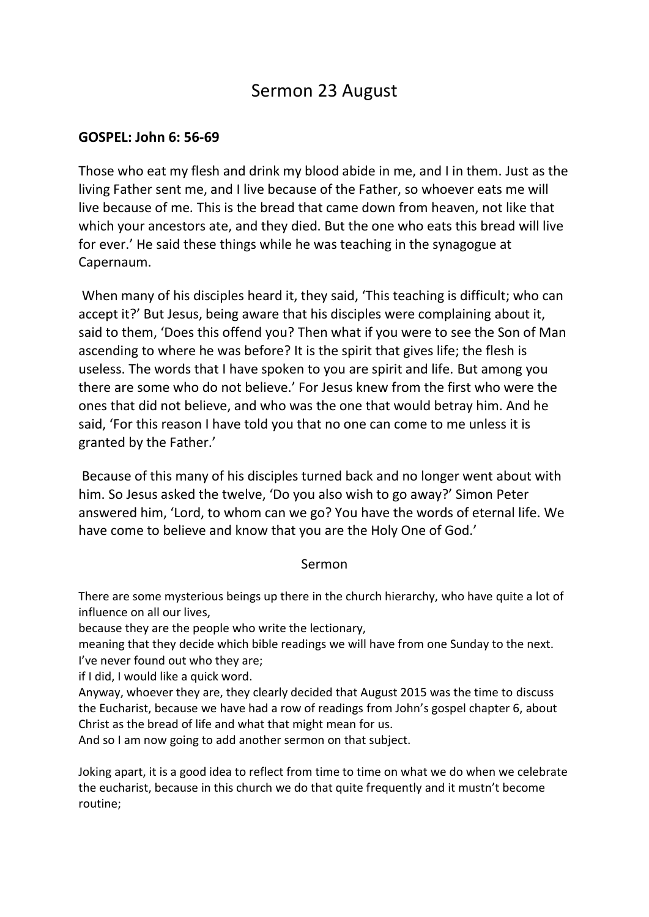# Sermon 23 August

## **GOSPEL: John 6: 56-69**

Those who eat my flesh and drink my blood abide in me, and I in them. Just as the living Father sent me, and I live because of the Father, so whoever eats me will live because of me. This is the bread that came down from heaven, not like that which your ancestors ate, and they died. But the one who eats this bread will live for ever.' He said these things while he was teaching in the synagogue at Capernaum.

When many of his disciples heard it, they said, 'This teaching is difficult; who can accept it?' But Jesus, being aware that his disciples were complaining about it, said to them, 'Does this offend you? Then what if you were to see the Son of Man ascending to where he was before? It is the spirit that gives life; the flesh is useless. The words that I have spoken to you are spirit and life. But among you there are some who do not believe.' For Jesus knew from the first who were the ones that did not believe, and who was the one that would betray him. And he said, 'For this reason I have told you that no one can come to me unless it is granted by the Father.'

Because of this many of his disciples turned back and no longer went about with him. So Jesus asked the twelve, 'Do you also wish to go away?' Simon Peter answered him, 'Lord, to whom can we go? You have the words of eternal life. We have come to believe and know that you are the Holy One of God.'

## Sermon

There are some mysterious beings up there in the church hierarchy, who have quite a lot of influence on all our lives,

because they are the people who write the lectionary,

meaning that they decide which bible readings we will have from one Sunday to the next. I've never found out who they are;

if I did, I would like a quick word.

Anyway, whoever they are, they clearly decided that August 2015 was the time to discuss the Eucharist, because we have had a row of readings from John's gospel chapter 6, about Christ as the bread of life and what that might mean for us.

And so I am now going to add another sermon on that subject.

Joking apart, it is a good idea to reflect from time to time on what we do when we celebrate the eucharist, because in this church we do that quite frequently and it mustn't become routine;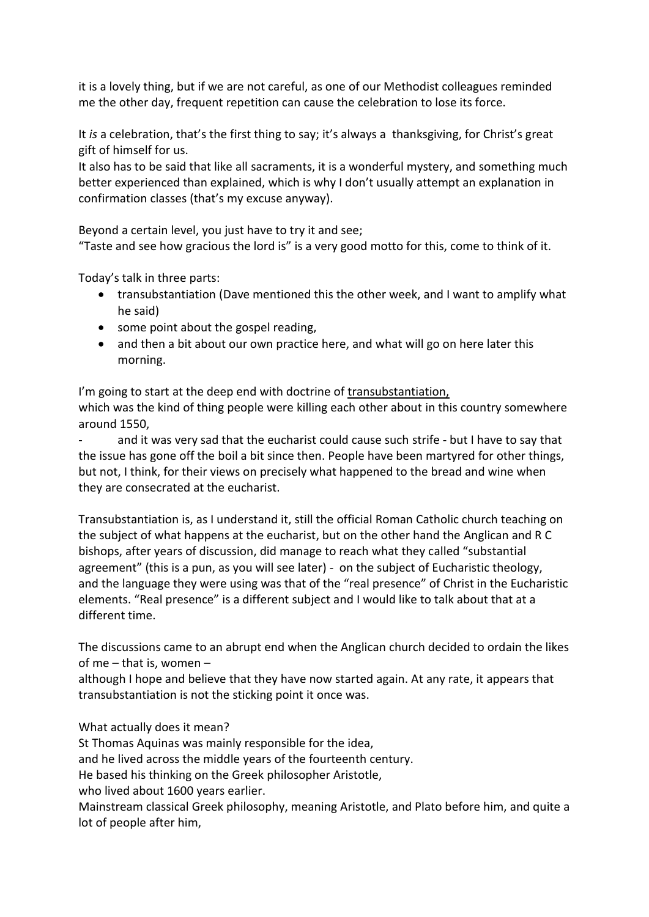it is a lovely thing, but if we are not careful, as one of our Methodist colleagues reminded me the other day, frequent repetition can cause the celebration to lose its force.

It *is* a celebration, that's the first thing to say; it's always a thanksgiving, for Christ's great gift of himself for us.

It also has to be said that like all sacraments, it is a wonderful mystery, and something much better experienced than explained, which is why I don't usually attempt an explanation in confirmation classes (that's my excuse anyway).

Beyond a certain level, you just have to try it and see;

"Taste and see how gracious the lord is" is a very good motto for this, come to think of it.

Today's talk in three parts:

- transubstantiation (Dave mentioned this the other week, and I want to amplify what he said)
- some point about the gospel reading,
- and then a bit about our own practice here, and what will go on here later this morning.

I'm going to start at the deep end with doctrine of transubstantiation, which was the kind of thing people were killing each other about in this country somewhere around 1550,

and it was very sad that the eucharist could cause such strife - but I have to say that the issue has gone off the boil a bit since then. People have been martyred for other things, but not, I think, for their views on precisely what happened to the bread and wine when they are consecrated at the eucharist.

Transubstantiation is, as I understand it, still the official Roman Catholic church teaching on the subject of what happens at the eucharist, but on the other hand the Anglican and R C bishops, after years of discussion, did manage to reach what they called "substantial agreement" (this is a pun, as you will see later) - on the subject of Eucharistic theology, and the language they were using was that of the "real presence" of Christ in the Eucharistic elements. "Real presence" is a different subject and I would like to talk about that at a different time.

The discussions came to an abrupt end when the Anglican church decided to ordain the likes of me – that is, women –

although I hope and believe that they have now started again. At any rate, it appears that transubstantiation is not the sticking point it once was.

What actually does it mean?

St Thomas Aquinas was mainly responsible for the idea,

and he lived across the middle years of the fourteenth century.

He based his thinking on the Greek philosopher Aristotle,

who lived about 1600 years earlier.

Mainstream classical Greek philosophy, meaning Aristotle, and Plato before him, and quite a lot of people after him,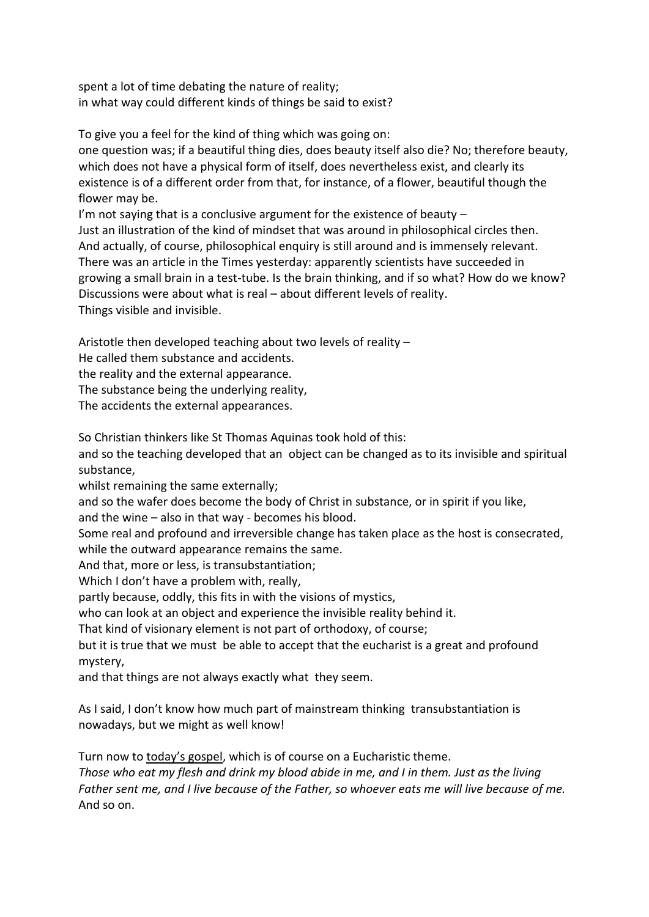spent a lot of time debating the nature of reality; in what way could different kinds of things be said to exist?

To give you a feel for the kind of thing which was going on:

one question was; if a beautiful thing dies, does beauty itself also die? No; therefore beauty, which does not have a physical form of itself, does nevertheless exist, and clearly its existence is of a different order from that, for instance, of a flower, beautiful though the flower may be.

I'm not saying that is a conclusive argument for the existence of beauty – Just an illustration of the kind of mindset that was around in philosophical circles then. And actually, of course, philosophical enquiry is still around and is immensely relevant. There was an article in the Times yesterday: apparently scientists have succeeded in growing a small brain in a test-tube. Is the brain thinking, and if so what? How do we know? Discussions were about what is real – about different levels of reality. Things visible and invisible.

Aristotle then developed teaching about two levels of reality –

He called them substance and accidents.

the reality and the external appearance.

The substance being the underlying reality,

The accidents the external appearances.

So Christian thinkers like St Thomas Aquinas took hold of this:

and so the teaching developed that an object can be changed as to its invisible and spiritual substance,

whilst remaining the same externally;

and so the wafer does become the body of Christ in substance, or in spirit if you like,

and the wine – also in that way - becomes his blood.

Some real and profound and irreversible change has taken place as the host is consecrated, while the outward appearance remains the same.

And that, more or less, is transubstantiation;

Which I don't have a problem with, really,

partly because, oddly, this fits in with the visions of mystics,

who can look at an object and experience the invisible reality behind it.

That kind of visionary element is not part of orthodoxy, of course;

but it is true that we must be able to accept that the eucharist is a great and profound mystery,

and that things are not always exactly what they seem.

As I said, I don't know how much part of mainstream thinking transubstantiation is nowadays, but we might as well know!

Turn now to today's gospel, which is of course on a Eucharistic theme. *Those who eat my flesh and drink my blood abide in me, and I in them. Just as the living Father sent me, and I live because of the Father, so whoever eats me will live because of me.* And so on.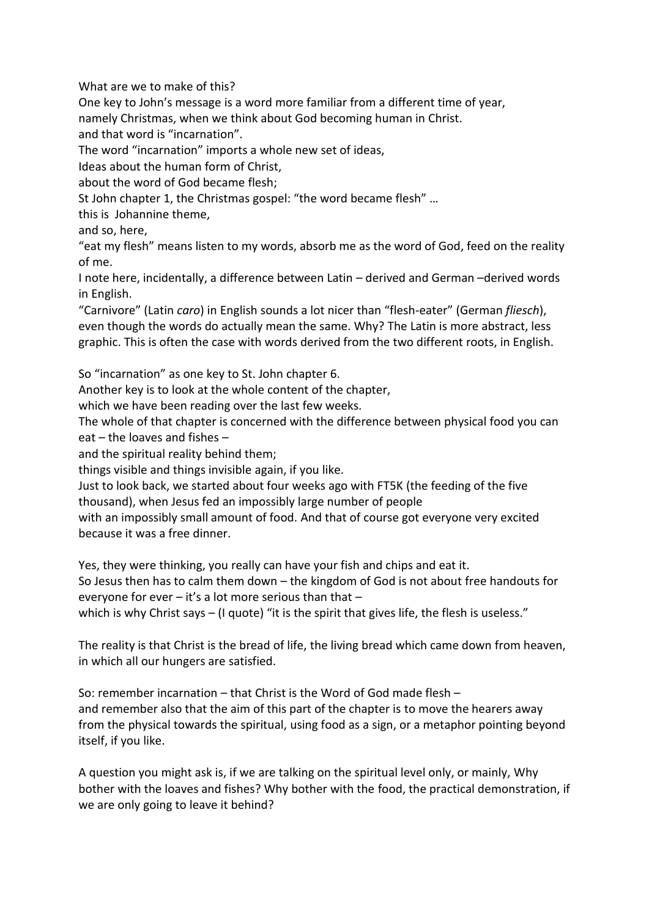What are we to make of this?

One key to John's message is a word more familiar from a different time of year, namely Christmas, when we think about God becoming human in Christ.

and that word is "incarnation".

The word "incarnation" imports a whole new set of ideas,

Ideas about the human form of Christ,

about the word of God became flesh;

St John chapter 1, the Christmas gospel: "the word became flesh" …

this is Johannine theme,

and so, here,

"eat my flesh" means listen to my words, absorb me as the word of God, feed on the reality of me.

I note here, incidentally, a difference between Latin – derived and German –derived words in English.

"Carnivore" (Latin *caro*) in English sounds a lot nicer than "flesh-eater" (German *fliesch*), even though the words do actually mean the same. Why? The Latin is more abstract, less graphic. This is often the case with words derived from the two different roots, in English.

So "incarnation" as one key to St. John chapter 6.

Another key is to look at the whole content of the chapter,

which we have been reading over the last few weeks.

The whole of that chapter is concerned with the difference between physical food you can eat – the loaves and fishes –

and the spiritual reality behind them;

things visible and things invisible again, if you like.

Just to look back, we started about four weeks ago with FT5K (the feeding of the five thousand), when Jesus fed an impossibly large number of people

with an impossibly small amount of food. And that of course got everyone very excited because it was a free dinner.

Yes, they were thinking, you really can have your fish and chips and eat it.

So Jesus then has to calm them down – the kingdom of God is not about free handouts for everyone for ever – it's a lot more serious than that –

which is why Christ says – (I quote) "it is the spirit that gives life, the flesh is useless."

The reality is that Christ is the bread of life, the living bread which came down from heaven, in which all our hungers are satisfied.

So: remember incarnation – that Christ is the Word of God made flesh – and remember also that the aim of this part of the chapter is to move the hearers away from the physical towards the spiritual, using food as a sign, or a metaphor pointing beyond itself, if you like.

A question you might ask is, if we are talking on the spiritual level only, or mainly, Why bother with the loaves and fishes? Why bother with the food, the practical demonstration, if we are only going to leave it behind?